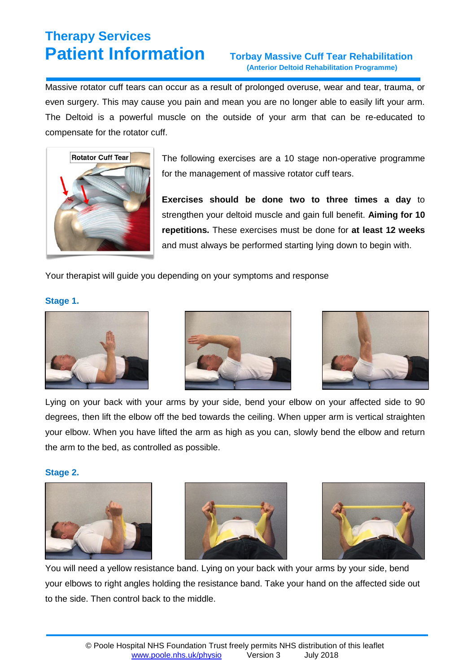## **(Anterior Deltoid Rehabilitation Programme)**

Massive rotator cuff tears can occur as a result of prolonged overuse, wear and tear, trauma, or even surgery. This may cause you pain and mean you are no longer able to easily lift your arm. The Deltoid is a powerful muscle on the outside of your arm that can be re-educated to compensate for the rotator cuff.



The following exercises are a 10 stage non-operative programme for the management of massive rotator cuff tears.

**Exercises should be done two to three times a day** to strengthen your deltoid muscle and gain full benefit. **Aiming for 10 repetitions.** These exercises must be done for **at least 12 weeks** and must always be performed starting lying down to begin with.

Your therapist will guide you depending on your symptoms and response

### **Stage 1.**







Lying on your back with your arms by your side, bend your elbow on your affected side to 90 degrees, then lift the elbow off the bed towards the ceiling. When upper arm is vertical straighten your elbow. When you have lifted the arm as high as you can, slowly bend the elbow and return the arm to the bed, as controlled as possible.

### **Stage 2.**







You will need a yellow resistance band. Lying on your back with your arms by your side, bend your elbows to right angles holding the resistance band. Take your hand on the affected side out to the side. Then control back to the middle.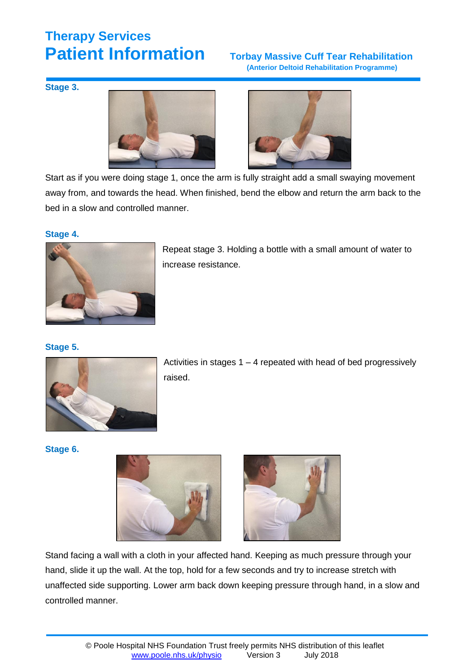## **(Anterior Deltoid Rehabilitation Programme)**

**Stage 3.**





Start as if you were doing stage 1, once the arm is fully straight add a small swaying movement away from, and towards the head. When finished, bend the elbow and return the arm back to the bed in a slow and controlled manner.

#### **Stage 4.**



Repeat stage 3. Holding a bottle with a small amount of water to increase resistance.

### **Stage 5.**



Activities in stages 1 – 4 repeated with head of bed progressively raised.

#### **Stage 6.**





Stand facing a wall with a cloth in your affected hand. Keeping as much pressure through your hand, slide it up the wall. At the top, hold for a few seconds and try to increase stretch with unaffected side supporting. Lower arm back down keeping pressure through hand, in a slow and controlled manner.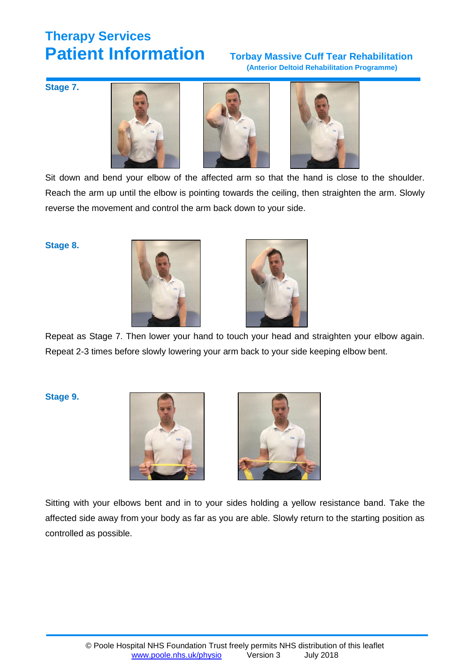# **(Anterior Deltoid Rehabilitation Programme)**

**Stage 7.** 







Sit down and bend your elbow of the affected arm so that the hand is close to the shoulder. Reach the arm up until the elbow is pointing towards the ceiling, then straighten the arm. Slowly reverse the movement and control the arm back down to your side.

#### **Stage 8.**





Repeat as Stage 7. Then lower your hand to touch your head and straighten your elbow again. Repeat 2-3 times before slowly lowering your arm back to your side keeping elbow bent.

**Stage 9.**





Sitting with your elbows bent and in to your sides holding a yellow resistance band. Take the affected side away from your body as far as you are able. Slowly return to the starting position as controlled as possible.